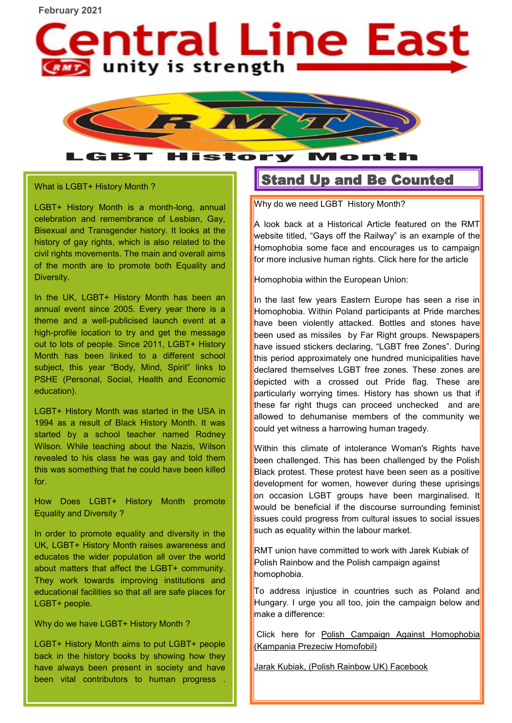**February 2021**



History

What is LGBT+ History Month ?

LGBT

LGBT+ History Month is a month-long, annual celebration and remembrance of Lesbian, Gay, Bisexual and Transgender history. It looks at the history of gay rights, which is also related to the civil rights movements. The main and overall aims of the month are to promote both Equality and Diversity.

In the UK, LGBT+ History Month has been an annual event since 2005. Every year there is a theme and a well-publicised launch event at a high-profile location to try and get the message out to lots of people. Since 2011, LGBT+ History Month has been linked to a different school subject, this year "Body, Mind, Spirit" links to PSHE (Personal, Social, Health and Economic education).

LGBT+ History Month was started in the USA in 1994 as a result of Black History Month. It was started by a school teacher named Rodney Wilson. While teaching about the Nazis, Wilson revealed to his class he was gay and told them this was something that he could have been killed for.

How Does LGBT+ History Month promote Equality and Diversity ?

In order to promote equality and diversity in the UK, LGBT+ History Month raises awareness and educates the wider population all over the world about matters that affect the LGBT+ community. They work towards improving institutions and educational facilities so that all are safe places for LGBT+ people.

Why do we have LGBT+ History Month ?

LGBT+ History Month aims to put LGBT+ people back in the history books by showing how they have always been present in society and have been vital contributors to human progress

## Stand Up and Be Counted

Mon

Why do we need LGBT History Month?

A look back at a Historical Article featured on the RMT website titled, "Gays off the Railway" is an example of the Homophobia some face and encourages us to campaign for more inclusive human rights. Click here for the [article](https://www.rmt.org.uk/about/lgbt-members/gays-off-the-railway/)

Homophobia within the European Union:

In the last few vears Eastern Europe has seen a rise in Homophobia. Within Poland participants at Pride marches have been violently attacked. Bottles and stones have been used as missiles by Far Right groups. Newspapers have issued stickers declaring, "LGBT free Zones". During this period approximately one hundred municipalities have declared themselves LGBT free zones. These zones are depicted with a crossed out Pride flag. These are particularly worrying times. History has shown us that if these far right thugs can proceed unchecked and are allowed to dehumanise members of the community we could yet witness a harrowing human tragedy.

Within this climate of intolerance Woman's Rights have been challenged. This has been challenged by the Polish Black protest. These protest have been seen as a positive development for women, however during these uprisings on occasion LGBT groups have been marginalised. It would be beneficial if the discourse surrounding feminist issues could progress from cultural issues to social issues such as equality within the labour market.

RMT union have committed to work with Jarek Kubiak of Polish Rainbow and the Polish campaign against homophobia.

To address injustice in countries such as Poland and Hungary. I urge you all too, join the campaign below and make a difference:

Click here for Polish Campaign Against Homophobia [\(Kampania Prezeciw Homofobil\)](https://www.annalindhfoundation.org/members/campaign-against-homophobia-kampania-przeciw-homofobii)

[Jarak Kubiak, \(Polish Rainbow UK\) Facebook](https://www.facebook.com/polishrainbowinuk/?ref=page_internal)